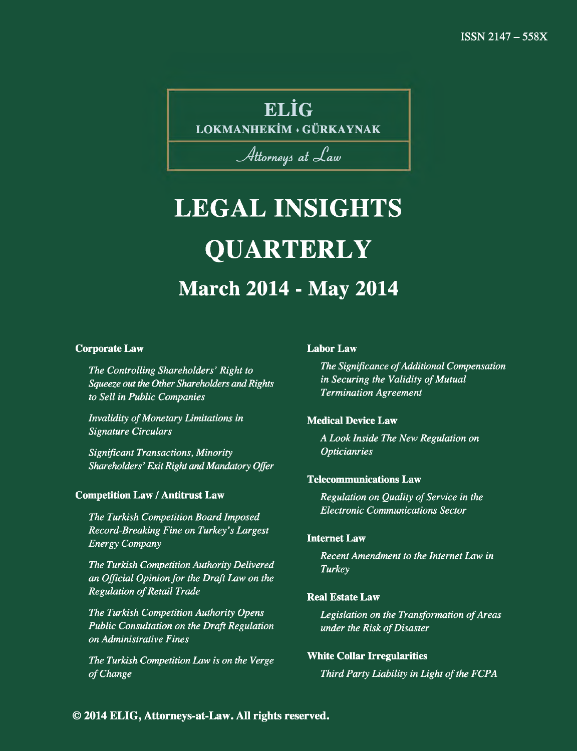## **ELÎG**

**LOKMANHEKÎM ♦ GÜRKAYNAK**

### Attorneys at Law

## **LEGAL INSIGHTS QUARTERLY March 2014 - May 2014**

#### **Corporate Law**

*The Controlling Shareholders' Right to Squeeze out the Other Shareholders and Rights to Sell in Public Companies*

*Invalidity of Monetary Limitations in Signature Circulars*

*Significant Transactions, Minority Shareholders ' Exit Right and Mandatory Offer*

#### **Competition Law / Antitrust Law**

*The Turkish Competition Board Imposed Record-Breaking Fine on Turkey's Largest Energy Company*

*The Turkish Competition Authority Delivered an Official Opinion for the Draft Law on the* **Regulation of Retail Trade** 

*The Turkish Competition Authority Opens Public Consultation on the Draft Regulation on Administrative Fines*

*The Turkish Competition Law is on the Verge* of Change

#### **Labor Law**

**The Significance of Additional Compensation** *in Securing the Validity of Mutual Termination Agreement*

#### **Medical Device Law**

*A Look Inside The New Regulation on Opticianries*

#### **Telecommunications Law**

**Regulation on Quality of Service in the** *Electronic Communications Sector*

#### **Internet Law**

*Recent Amendment to the Internet Law in Turkey*

#### **Real Estate Law**

Legislation on the Transformation of Areas *under the Risk of Disaster* 

#### **White Collar Irregularities**

**Third Party Liability in Light of the FCPA**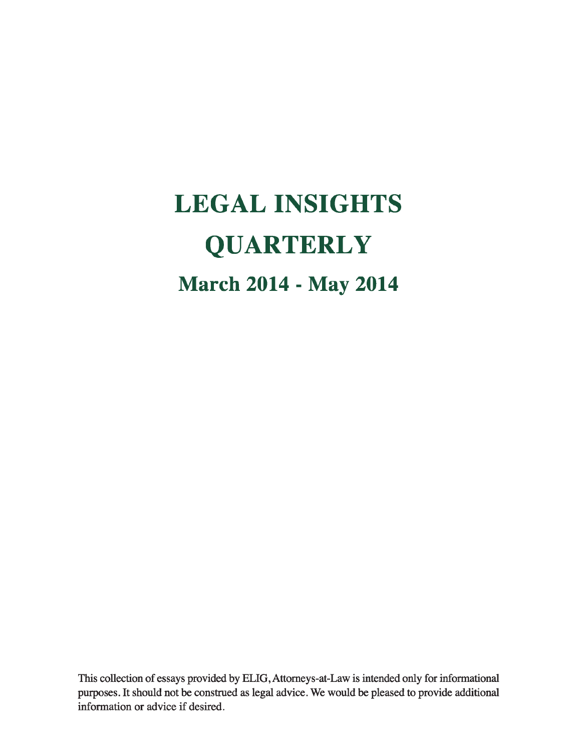# **LEGAL INSIGHTS QUARTERLY March 2014 - May 2014**

This collection of essays provided by ELIG, Attorneys-at-Law is intended only for informational purposes. It should not be construed as legal advice. We would be pleased to provide additional information or advice if desired.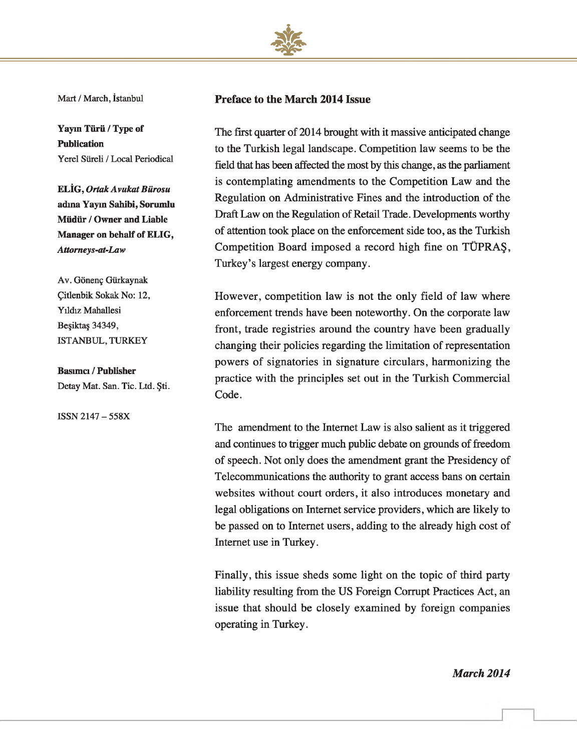

Mart / March, İstanbul

**Yayın Türü / Type of Publication** Yerel Süreli / Local Periodical

**ELİG,** *Ortak Avukat Bürosu* **adına Yayın Sahibi, Sorumlu Müdür / Owner and Liable Manager on behalf of ELIG,** *Attomeys-at-Law*

Av. Gönenç Gürkaynak Çitlenbik Sokak No: 12, Yıldız Mahallesi Beşiktaş 34349, ISTANBUL, TURKEY

#### **Basımcı / Publisher**

Detay Mat. San. Tic. Ltd. Şti.

ISSN 2147 - 558X

#### **Preface to the March 2014 Issue**

The first quarter of 2014 brought with it massive anticipated change to the Turkish legal landscape. Competition law seems to be the field that has been affected the most by this change, as the parliament is contemplating amendments to the Competition Law and the Regulation on Administrative Fines and the introduction of the Draft Law on the Regulation of Retail Trade. Developments worthy of attention took place on the enforcement side too, as the Turkish Competition Board imposed a record high fine on TUPRAS, Turkey's largest energy company.

However, competition law is not the only field of law where enforcement trends have been noteworthy. On the corporate law front, trade registries around the country have been gradually changing their policies regarding the limitation of representation powers of signatories in signature circulars, harmonizing the practice with the principles set out in the Turkish Commercial Code.

The amendment to the Internet Law is also salient as it triggered and continues to trigger much public debate on grounds of freedom of speech. Not only does the amendment grant the Presidency of Telecommunications the authority to grant access bans on certain websites without court orders, it also introduces monetary and legal obligations on Internet service providers, which are likely to be passed on to Internet users, adding to the already high cost of Internet use in Turkey.

Finally, this issue sheds some light on the topic of third party liability resulting from the US Foreign Corrupt Practices Act, an issue that should be closely examined by foreign companies operating in Turkey.

*March 2014*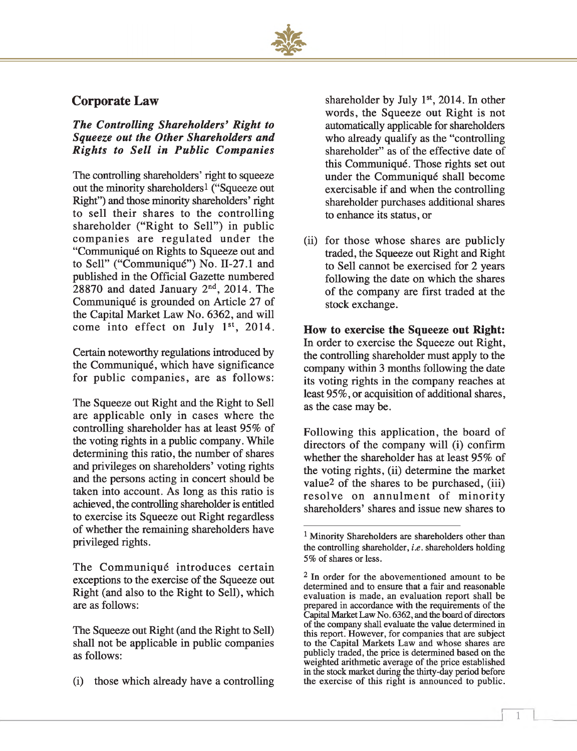

#### **Corporate Law**

#### *The Controlling Shareholders' R ight to Squeeze out the Other Shareholders and R igh ts to S ell in P u blic C om panies*

The controlling shareholders' right to squeeze out the minority shareholders1 ("Squeeze out Right") and those minority shareholders' right to sell their shares to the controlling shareholder ("Right to Sell") in public companies are regulated under the "Communiqué on Rights to Squeeze out and to Sell" ("Communiqué") No. 11-27.1 and published in the Official Gazette numbered 28870 and dated January  $2<sup>nd</sup>$ , 2014. The Communiqué is grounded on Article 27 of the Capital Market Law No. 6362, and will come into effect on July  $1<sup>st</sup>$ , 2014.

Certain noteworthy regulations introduced by the Communiqué, which have significance for public companies, are as follows:

The Squeeze out Right and the Right to Sell are applicable only in cases where the controlling shareholder has at least 95% of the voting rights in a public company. While determining this ratio, the number of shares and privileges on shareholders' voting rights and the persons acting in concert should be taken into account. As long as this ratio is achieved, the controlling shareholder is entitled to exercise its Squeeze out Right regardless of whether the remaining shareholders have privileged rights.

The Communiqué introduces certain exceptions to the exercise of the Squeeze out Right (and also to the Right to Sell), which are as follows:

The Squeeze out Right (and the Right to Sell) shall not be applicable in public companies as follows:

(i) those which already have a controlling

shareholder by July 1<sup>st</sup>, 2014. In other words, the Squeeze out Right is not automatically applicable for shareholders who already qualify as the "controlling shareholder" as of the effective date of this Communiqué. Those rights set out under the Communiqué shall become exercisable if and when the controlling shareholder purchases additional shares to enhance its status, or

(ii) for those whose shares are publicly traded, the Squeeze out Right and Right to Sell cannot be exercised for 2 years following the date on which the shares of the company are first traded at the stock exchange.

### **How to exercise the Squeeze out Right:**

In order to exercise the Squeeze out Right, the controlling shareholder must apply to the company within 3 months following the date its voting rights in the company reaches at least 95%, or acquisition of additional shares, as the case may be.

Following this application, the board of directors of the company will (i) confirm whether the shareholder has at least 95% of the voting rights, (ii) determine the market value2 of the shares to be purchased, (iii) resolve on annulment of minority shareholders' shares and issue new shares to

**r**

<sup>&</sup>lt;sup>1</sup> Minority Shareholders are shareholders other than the controlling shareholder, *i.e.* shareholders holding 5% of shares or less.

 $2$  In order for the abovementioned amount to be determined and to ensure that a fair and reasonable evaluation is made, an evaluation report shall be prepared in accordance with the requirements of the Capital Market Law No. 6362, and the board of directors of the company shall evaluate the value determined in this report. However, for companies that are subject to the Capital Markets Law and whose shares are publicly traded, the price is determined based on the weighted arithmetic average of the price established in the stock market during the thirty-day period before the exercise of this right is announced to public.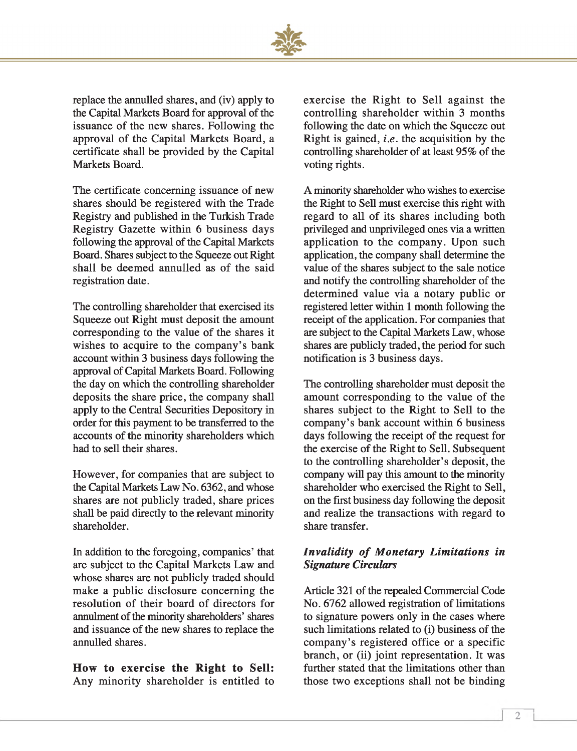

replace the annulled shares, and (iv) apply to the Capital Markets Board for approval of the issuance of the new shares. Following the approval of the Capital Markets Board, a certificate shall be provided by the Capital Markets Board.

The certificate concerning issuance of new shares should be registered with the Trade Registry and published in the Turkish Trade Registry Gazette within 6 business days following the approval of the Capital Markets Board. Shares subject to the Squeeze out Right shall be deemed annulled as of the said registration date.

The controlling shareholder that exercised its Squeeze out Right must deposit the amount corresponding to the value of the shares it wishes to acquire to the company's bank account within 3 business days following the approval of Capital Markets Board. Following the day on which the controlling shareholder deposits the share price, the company shall apply to the Central Securities Depository in order for this payment to be transferred to the accounts of the minority shareholders which had to sell their shares.

However, for companies that are subject to the Capital Markets Law No. 6362, and whose shares are not publicly traded, share prices shall be paid directly to the relevant minority shareholder.

In addition to the foregoing, companies' that are subject to the Capital Markets Law and whose shares are not publicly traded should make a public disclosure concerning the resolution of their board of directors for annulment of the minority shareholders' shares and issuance of the new shares to replace the annulled shares.

**How to exercise the Right to Sell:** Any minority shareholder is entitled to

exercise the Right to Sell against the controlling shareholder within 3 months following the date on which the Squeeze out Right is gained, *i.e.* the acquisition by the controlling shareholder of at least 95% of the voting rights.

A minority shareholder who wishes to exercise the Right to Sell must exercise this right with regard to all of its shares including both privileged and unprivileged ones via a written application to the company. Upon such application, the company shall determine the value of the shares subject to the sale notice and notify the controlling shareholder of the determined value via a notary public or registered letter within 1 month following the receipt of the application. For companies that are subject to the Capital Markets Law, whose shares are publicly traded, the period for such notification is 3 business days.

The controlling shareholder must deposit the amount corresponding to the value of the shares subject to the Right to Sell to the company's bank account within 6 business days following the receipt of the request for the exercise of the Right to Sell. Subsequent to the controlling shareholder's deposit, the company will pay this amount to the minority shareholder who exercised the Right to Sell, on the first business day following the deposit and realize the transactions with regard to share transfer.

#### **Invalidity of Monetary Limitations in** *Signature Circulars*

Article 321 of the repealed Commercial Code No. 6762 allowed registration of limitations to signature powers only in the cases where such limitations related to (i) business of the company's registered office or a specific branch, or (ii) joint representation. It was further stated that the limitations other than those two exceptions shall not be binding

*1*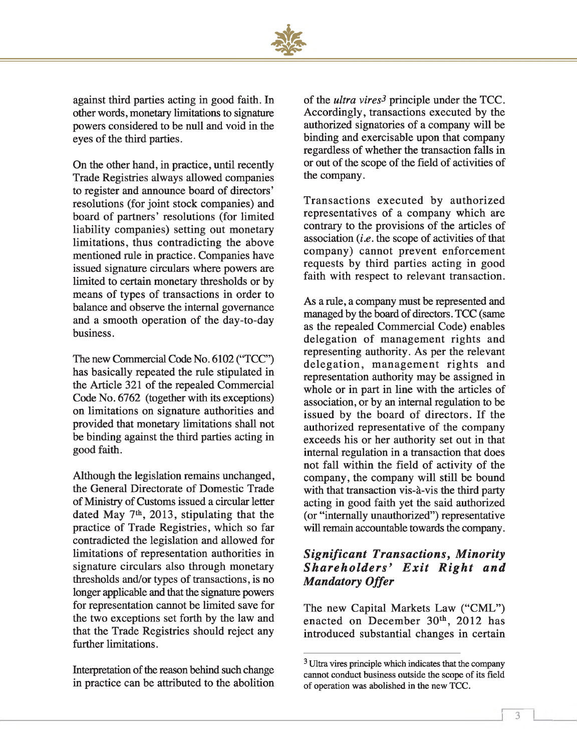

against third parties acting in good faith. In other words, monetary limitations to signature powers considered to be null and void in the eyes of the third parties.

On the other hand, in practice, until recently Trade Registries always allowed companies to register and announce board of directors' resolutions (for joint stock companies) and board of partners' resolutions (for limited liability companies) setting out monetary limitations, thus contradicting the above mentioned rule in practice. Companies have issued signature circulars where powers are limited to certain monetary thresholds or by means of types of transactions in order to balance and observe the internal governance and a smooth operation of the day-to-day business.

The new Commercial Code No. 6102 ("TCC") has basically repeated the rule stipulated in the Article 321 of the repealed Commercial Code No. 6762 (together with its exceptions) on limitations on signature authorities and provided that monetary limitations shall not be binding against the third parties acting in good faith.

Although the legislation remains unchanged, the General Directorate of Domestic Trade of Ministry of Customs issued a circular letter dated May 7<sup>th</sup>, 2013, stipulating that the practice of Trade Registries, which so far contradicted the legislation and allowed for limitations of representation authorities in signature circulars also through monetary thresholds and/or types of transactions, is no longer applicable and that the signature powers for representation cannot be limited save for the two exceptions set forth by the law and that the Trade Registries should reject any further limitations.

Interpretation of the reason behind such change in practice can be attributed to the abolition

of the *ultra vires3* principle under the TCC. Accordingly, transactions executed by the authorized signatories of a company will be binding and exercisable upon that company regardless of whether the transaction falls in or out of the scope of the field of activities of the company.

Transactions executed by authorized representatives of a company which are contrary to the provisions of the articles of association *(i.e.* the scope of activities of that company) cannot prevent enforcement requests by third parties acting in good faith with respect to relevant transaction.

As a rule, a company must be represented and managed by the board of directors. TCC (same as the repealed Commercial Code) enables delegation of management rights and representing authority. As per the relevant delegation, management rights and representation authority may be assigned in whole or in part in line with the articles of association, or by an internal regulation to be issued by the board of directors. If the authorized representative of the company exceeds his or her authority set out in that internal regulation in a transaction that does not fall within the field of activity of the company, the company will still be bound with that transaction vis-à-vis the third party acting in good faith yet the said authorized (or "internally unauthorized") representative will remain accountable towards the company.

#### *Significant Transactions, Minority Shareholders' Exit Right and M an datory O ffer*

The new Capital Markets Law ("CML") enacted on December 30<sup>th</sup>, 2012 has introduced substantial changes in certain

**r**

<sup>3</sup> Ultra vires principle which indicates that the company cannot conduct business outside the scope of its field of operation was abolished in the new TCC.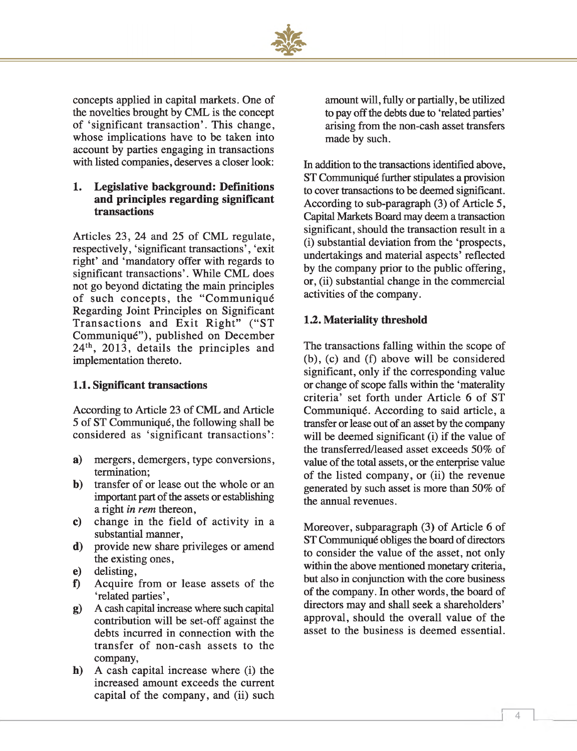

concepts applied in capital markets. One of the novelties brought by CML is the concept of 'significant transaction'. This change, whose implications have to be taken into account by parties engaging in transactions with listed companies, deserves a closer look:

#### **1. Legislative background: Definitions and principles regarding significant transactions**

Articles 23, 24 and 25 of CML regulate, respectively, 'significant transactions', 'exit right' and 'mandatory offer with regards to significant transactions'. While CML does not go beyond dictating the main principles of such concepts, the "Communiqué Regarding Joint Principles on Significant Transactions and Exit Right" ("ST Communiqué"), published on December 24th, 2013, details the principles and implementation thereto.

#### **1.1. Significant transactions**

According to Article 23 of CML and Article 5 of ST Communiqué, the following shall be considered as 'significant transactions':

- **a)** mergers, demergers, type conversions, termination;
- **b)** transfer of or lease out the whole or an important part of the assets or establishing a right *in rem* thereon,
- **c)** change in the field of activity in a substantial manner,
- **d)** provide new share privileges or amend the existing ones,
- **e)** delisting,
- **f)** Acquire from or lease assets of the 'related parties',
- g) A cash capital increase where such capital contribution will be set-off against the debts incurred in connection with the transfer of non-cash assets to the company,
- **h)** A cash capital increase where (i) the increased amount exceeds the current capital of the company, and (ii) such

amount will, fully or partially, be utilized to pay off the debts due to 'related parties' arising from the non-cash asset transfers made by such.

In addition to the transactions identified above, ST Communiqué further stipulates a provision to cover transactions to be deemed significant. According to sub-paragraph (3) of Article 5, Capital Markets Board may deem a transaction significant, should the transaction result in a (i) substantial deviation from the 'prospects, undertakings and material aspects' reflected by the company prior to the public offering, or, (ii) substantial change in the commercial activities of the company.

#### *1 2 .* **Materiality threshold**

The transactions falling within the scope of (b), (c) and (f) above will be considered significant, only if the corresponding value or change of scope falls within the 'materality criteria' set forth under Article 6 of ST Communiqué. According to said article, a transfer or lease out of an asset by the company will be deemed significant (i) if the value of the transferred/leased asset exceeds 50% of value of the total assets, or the enterprise value of the listed company, or (ii) the revenue generated by such asset is more than 50% of the annual revenues.

Moreover, subparagraph (3) of Article 6 of ST Communiqué obliges the board of directors to consider the value of the asset, not only within the above mentioned monetary criteria, but also in conjunction with the core business of the company. In other words, the board of directors may and shall seek a shareholders' approval, should the overall value of the asset to the business is deemed essential.

**r**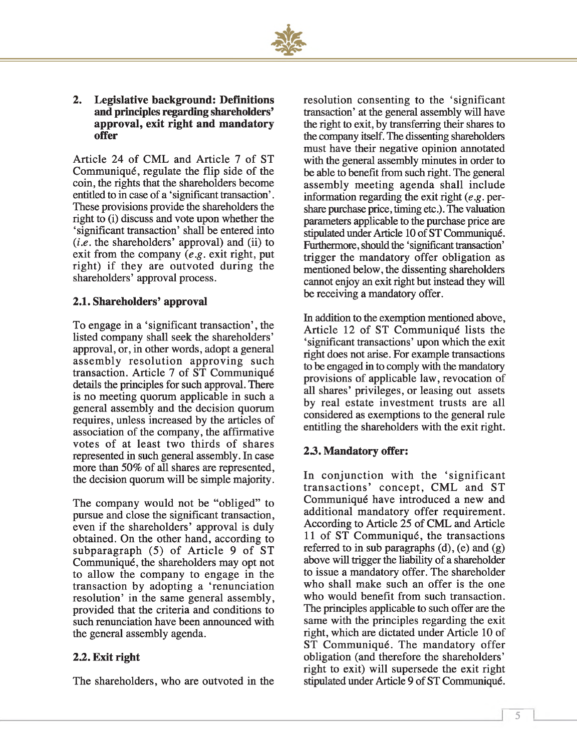

#### **2. Legislative background: Definitions and principles regarding shareholders' approval, exit right and mandatory offer**

Article 24 of CML and Article 7 of ST Communiqué, regulate the flip side of the coin, the rights that the shareholders become entitled to in case of a 'significant transaction'. These provisions provide the shareholders the right to (i) discuss and vote upon whether the 'significant transaction' shall be entered into (*i.e*. the shareholders' approval) and (ii) to exit from the company (*e.g*. exit right, put right) if they are outvoted during the shareholders' approval process.

#### **2.1. Shareholders' approval**

To engage in a 'significant transaction', the listed company shall seek the shareholders' approval, or, in other words, adopt a general assembly resolution approving such transaction. Article 7 of ST Communiqué details the principles for such approval. There is no meeting quorum applicable in such a general assembly and the decision quorum requires, unless increased by the articles of association of the company, the affirmative votes of at least two thirds of shares represented in such general assembly. In case more than 50% of all shares are represented, the decision quorum will be simple majority.

The company would not be "obliged" to pursue and close the significant transaction, even if the shareholders' approval is duly obtained. On the other hand, according to subparagraph  $(5)$  of Article 9 of ST Communiqué, the shareholders may opt not to allow the company to engage in the transaction by adopting a 'renunciation resolution' in the same general assembly, provided that the criteria and conditions to such renunciation have been announced with the general assembly agenda.

#### *2 2 .* **Exit right**

The shareholders, who are outvoted in the

resolution consenting to the 'significant transaction' at the general assembly will have the right to exit, by transferring their shares to the company itself. The dissenting shareholders must have their negative opinion annotated with the general assembly minutes in order to be able to benefit from such right. The general assembly m eeting agenda shall include information regarding the exit right *(e.g.* pershare purchase price, timing etc.). The valuation parameters applicable to the purchase price are stipulated under Article 10 of ST Communiqué. Furthermore, should the 'significant transaction' trigger the mandatory offer obligation as mentioned below, the dissenting shareholders cannot enjoy an exit right but instead they will be receiving a mandatory offer.

In addition to the exemption mentioned above, Article 12 of ST Communiqué lists the 'significant transactions' upon which the exit right does not arise. For example transactions to be engaged in to comply with the mandatory provisions of applicable law, revocation of all shares' privileges, or leasing out assets by real estate investment trusts are all considered as exemptions to the general rule entitling the shareholders with the exit right.

#### *2 3 .* **Mandatory offer:**

In conjunction with the 'significant transactions' concept, CML and ST Communiqué have introduced a new and additional mandatory offer requirement. According to Article 25 of CML and Article 11 of ST Communiqué, the transactions referred to in sub paragraphs (d), (e) and (g) above will trigger the liability of a shareholder to issue a mandatory offer. The shareholder who shall make such an offer is the one who would benefit from such transaction. The principles applicable to such offer are the same with the principles regarding the exit right, which are dictated under Article 10 of ST Communiqué. The mandatory offer obligation (and therefore the shareholders' right to exit) will supersede the exit right stipulated under Article 9 of ST Communiqué.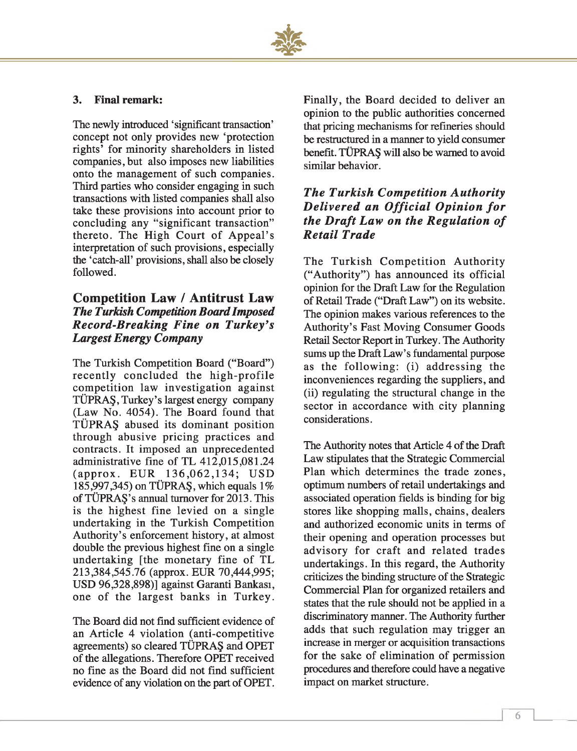

#### **3. Final remark:**

The newly introduced 'significant transaction' concept not only provides new 'protection rights' for minority shareholders in listed companies, but also imposes new liabilities onto the management of such companies. Third parties who consider engaging in such transactions with listed companies shall also take these provisions into account prior to concluding any "significant transaction" thereto. The High Court of Appeal's interpretation of such provisions, especially the 'catch-all' provisions, shall also be closely followed.

#### **Competition Law / Antitrust Law** *The Turkish Competition B oard Im posed Record-Breaking Fine on Turkey's Largest Energy Company*

The Turkish Competition Board ("Board") recently concluded the high-profile com petition law investigation against TÜPRAŞ, Turkey's largest energy company (Law No. 4054). The Board found that TÜPRAŞ abused its dominant position through abusive pricing practices and contracts. It imposed an unprecedented administrative fine of TL 412,015,081.24 (approx. EUR 136,062,134; USD 185,997,345) on TÜPRAŞ, which equals 1% of TÜPRAŞ's annual turnover for 2013. This is the highest fine levied on a single undertaking in the Turkish Competition Authority's enforcement history, at almost double the previous highest fine on a single undertaking [the monetary fine of TL 213,384,545.76 (approx. EUR 70,444,995; USD 96,328,898)] against Garanti Bankası, one of the largest banks in Turkey.

The Board did not find sufficient evidence of an Article 4 violation (anti-competitive agreements) so cleared TÜPRAŞ and OPET of the allegations. Therefore OPET received no fine as the Board did not find sufficient evidence of any violation on the part of OPET. Finally, the Board decided to deliver an opinion to the public authorities concerned that pricing mechanisms for refineries should be restructured in a manner to yield consumer benefit. TUPRA§ will also be warned to avoid similar behavior.

#### *The Turkish Competition Authority Delivered an Official Opinion for the Draft Law on the Regulation of*  $$

The Turkish Competition Authority ("Authority") has announced its official opinion for the Draft Law for the Regulation of Retail Trade ("Draft Law") on its website. The opinion makes various references to the Authority's Fast Moving Consumer Goods Retail Sector Report in Turkey. The Authority sums up the Draft Law's fundamental purpose as the following: (i) addressing the inconveniences regarding the suppliers, and (ii) regulating the structural change in the sector in accordance with city planning considerations.

The Authority notes that Article 4 of the Draft Law stipulates that the Strategic Commercial Plan which determines the trade zones, optimum numbers of retail undertakings and associated operation fields is binding for big stores like shopping malls, chains, dealers and authorized economic units in terms of their opening and operation processes but advisory for craft and related trades undertakings. In this regard, the Authority criticizes the binding structure of the Strategic Commercial Plan for organized retailers and states that the rule should not be applied in a discriminatory manner. The Authority further adds that such regulation may trigger an increase in merger or acquisition transactions for the sake of elimination of permission procedures and therefore could have a negative impact on market structure.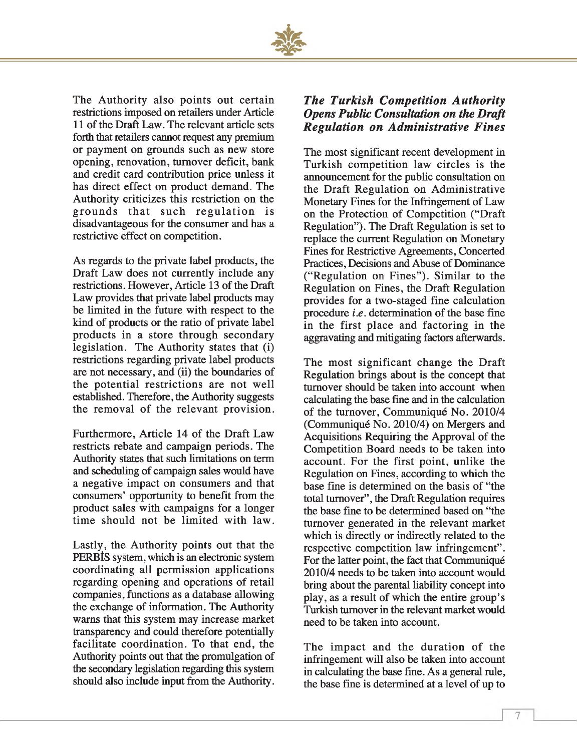

The Authority also points out certain restrictions imposed on retailers under Article 11 of the Draft Law. The relevant article sets forth that retailers cannot request any premium or payment on grounds such as new store opening, renovation, turnover deficit, bank and credit card contribution price unless it has direct effect on product demand. The Authority criticizes this restriction on the grounds that such regulation is disadvantageous for the consumer and has a restrictive effect on competition.

As regards to the private label products, the Draft Law does not currently include any restrictions. However, Article 13 of the Draft Law provides that private label products may be limited in the future with respect to the kind of products or the ratio of private label products in a store through secondary legislation. The Authority states that (i) restrictions regarding private label products are not necessary, and (ii) the boundaries of the potential restrictions are not well established. Therefore, the Authority suggests the removal of the relevant provision.

Furthermore, Article 14 of the Draft Law restricts rebate and campaign periods. The Authority states that such limitations on term and scheduling of campaign sales would have a negative impact on consumers and that consumers' opportunity to benefit from the product sales with campaigns for a longer time should not be limited with law.

Lastly, the Authority points out that the PERBÎS system, which is an electronic system coordinating all permission applications regarding opening and operations of retail companies, functions as a database allowing the exchange of information. The Authority warns that this system may increase market transparency and could therefore potentially facilitate coordination. To that end, the Authority points out that the promulgation of the secondary legislation regarding this system should also include input from the Authority.

#### *The Turkish Competition Authority* **Opens Public Consultation on the Draft** *R eg u la tio n on A d m in istra tiv e F in es*

The most significant recent development in Turkish competition law circles is the announcement for the public consultation on the Draft Regulation on Administrative Monetary Fines for the Infringement of Law on the Protection of Competition ("Draft Regulation"). The Draft Regulation is set to replace the current Regulation on Monetary Fines for Restrictive Agreements, Concerted Practices, Decisions and Abuse of Dominance ("Regulation on Fines"). Similar to the Regulation on Fines, the Draft Regulation provides for a two-staged fine calculation procedure *i.e.* determination of the base fine in the first place and factoring in the aggravating and mitigating factors afterwards.

The most significant change the Draft Regulation brings about is the concept that turnover should be taken into account when calculating the base fine and in the calculation of the turnover, Communiqué No. 2010/4 (Communiqué No. 2010/4) on Mergers and Acquisitions Requiring the Approval of the Competition Board needs to be taken into account. For the first point, unlike the Regulation on Fines, according to which the base fine is determined on the basis of "the total turnover", the Draft Regulation requires the base fine to be determined based on "the turnover generated in the relevant market which is directly or indirectly related to the respective competition law infringement". For the latter point, the fact that Communiqué 2010/4 needs to be taken into account would bring about the parental liability concept into play, as a result of which the entire group's Turkish turnover in the relevant market would need to be taken into account.

The impact and the duration of the infringement will also be taken into account in calculating the base fine. As a general rule, the base fine is determined at a level of up to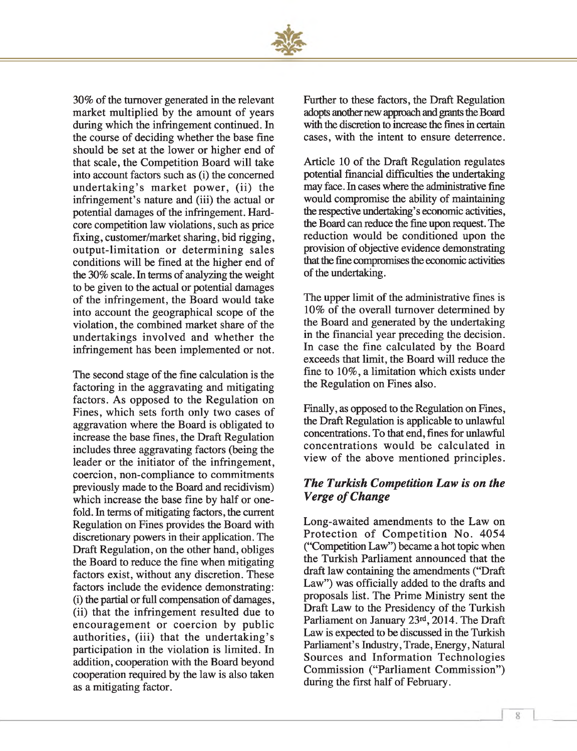

30% of the turnover generated in the relevant market multiplied by the amount of years during which the infringement continued. In the course of deciding whether the base fine should be set at the lower or higher end of that scale, the Competition Board will take into account factors such as (i) the concerned undertaking's market power, (ii) the infringement's nature and (iii) the actual or potential damages of the infringement. Hardcore competition law violations, such as price fixing, customer/market sharing, bid rigging, output-limitation or determining sales conditions will be fined at the higher end of the 30% scale. In terms of analyzing the weight to be given to the actual or potential damages of the infringement, the Board would take into account the geographical scope of the violation, the combined market share of the undertakings involved and whether the infringement has been implemented or not.

The second stage of the fine calculation is the factoring in the aggravating and mitigating factors. As opposed to the Regulation on Fines, which sets forth only two cases of aggravation where the Board is obligated to increase the base fines, the Draft Regulation includes three aggravating factors (being the leader or the initiator of the infringement, coercion, non-compliance to commitments previously made to the Board and recidivism) which increase the base fine by half or onefold. In terms of mitigating factors, the current Regulation on Fines provides the Board with discretionary powers in their application. The Draft Regulation, on the other hand, obliges the Board to reduce the fine when mitigating factors exist, without any discretion. These factors include the evidence demonstrating: (i) the partial or full compensation of damages, (ii) that the infringement resulted due to encouragement or coercion by public authorities, (iii) that the undertaking's participation in the violation is limited. In addition, cooperation with the Board beyond cooperation required by the law is also taken as a mitigating factor.

Further to these factors, the Draft Regulation adopts another new approach and grants the Board with the discretion to increase the fines in certain cases, with the intent to ensure deterrence.

Article 10 of the Draft Regulation regulates potential financial difficulties the undertaking may face. In cases where the administrative fine would compromise the ability of maintaining the respective undertaking's economic activities, the Board can reduce the fine upon request. The reduction would be conditioned upon the provision of objective evidence demonstrating that the fine compromises the economic activities of the undertaking.

The upper limit of the administrative fines is 10% of the overall turnover determined by the Board and generated by the undertaking in the financial year preceding the decision. In case the fine calculated by the Board exceeds that limit, the Board will reduce the fine to 10%, a limitation which exists under the Regulation on Fines also.

Finally, as opposed to the Regulation on Fines, the Draft Regulation is applicable to unlawful concentrations. To that end, fines for unlawful concentrations w ould be calculated in view of the above mentioned principles.

#### *The Turkish C om petition L aw is on the Verge of Change*

Long-awaited amendments to the Law on Protection of Competition No. 4054 ("Competition Law") became a hot topic when the Turkish Parliament announced that the draft law containing the amendments ("Draft Law") was officially added to the drafts and proposals list. The Prime Ministry sent the Draft Law to the Presidency of the Turkish Parliament on January 23rd, 2014. The Draft Law is expected to be discussed in the Turkish Parliament's Industry, Trade, Energy, Natural Sources and Information Technologies Commission ("Parliament Commission") during the first half of February.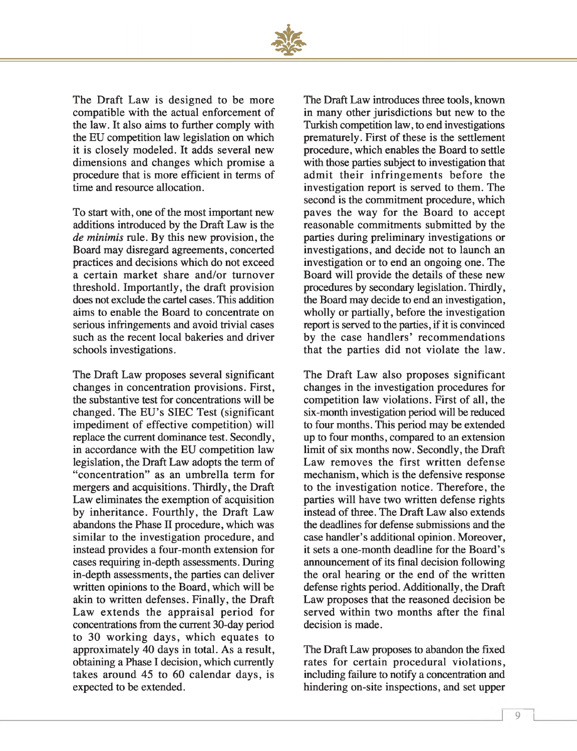

The Draft Law is designed to be more compatible with the actual enforcement of the law. It also aims to further comply with the EU competition law legislation on which it is closely modeled. It adds several new dimensions and changes which promise a procedure that is more efficient in terms of time and resource allocation.

To start with, one of the most important new additions introduced by the Draft Law is the *de minimis* rule. By this new provision, the Board may disregard agreements, concerted practices and decisions which do not exceed a certain market share and/or turnover threshold. Importantly, the draft provision does not exclude the cartel cases. This addition aims to enable the Board to concentrate on serious infringements and avoid trivial cases such as the recent local bakeries and driver schools investigations.

The Draft Law proposes several significant changes in concentration provisions. First, the substantive test for concentrations will be changed. The EU 's SIEC Test (significant impediment of effective competition) will replace the current dominance test. Secondly, in accordance with the EU competition law legislation, the Draft Law adopts the term of "concentration" as an umbrella term for mergers and acquisitions. Thirdly, the Draft Law eliminates the exemption of acquisition by inheritance. Fourthly, the Draft Law abandons the Phase II procedure, which was similar to the investigation procedure, and instead provides a four-month extension for cases requiring in-depth assessments. During in-depth assessments, the parties can deliver written opinions to the Board, which will be akin to written defenses. Finally, the Draft Law extends the appraisal period for concentrations from the current 30-day period to 30 working days, which equates to approximately 40 days in total. As a result, obtaining a Phase I decision, which currently takes around 45 to 60 calendar days, is expected to be extended.

The Draft Law introduces three tools, known in many other jurisdictions but new to the Turkish competition law, to end investigations prematurely. First of these is the settlement procedure, which enables the Board to settle with those parties subject to investigation that admit their infringements before the investigation report is served to them. The second is the commitment procedure, which paves the way for the Board to accept reasonable commitments submitted by the parties during preliminary investigations or investigations, and decide not to launch an investigation or to end an ongoing one. The Board will provide the details of these new procedures by secondary legislation. Thirdly, the Board may decide to end an investigation, wholly or partially, before the investigation report is served to the parties, if it is convinced by the case handlers' recommendations that the parties did not violate the law.

The Draft Law also proposes significant changes in the investigation procedures for competition law violations. First of all, the six-month investigation period will be reduced to four months. This period may be extended up to four months, compared to an extension limit of six months now. Secondly, the Draft Law removes the first written defense mechanism, which is the defensive response to the investigation notice. Therefore, the parties will have two written defense rights instead of three. The Draft Law also extends the deadlines for defense submissions and the case handler's additional opinion. Moreover, it sets a one-month deadline for the Board's announcement of its final decision following the oral hearing or the end of the written defense rights period. Additionally, the Draft Law proposes that the reasoned decision be served within two months after the final decision is made.

The Draft Law proposes to abandon the fixed rates for certain procedural violations, including failure to notify a concentration and hindering on-site inspections, and set upper

*1*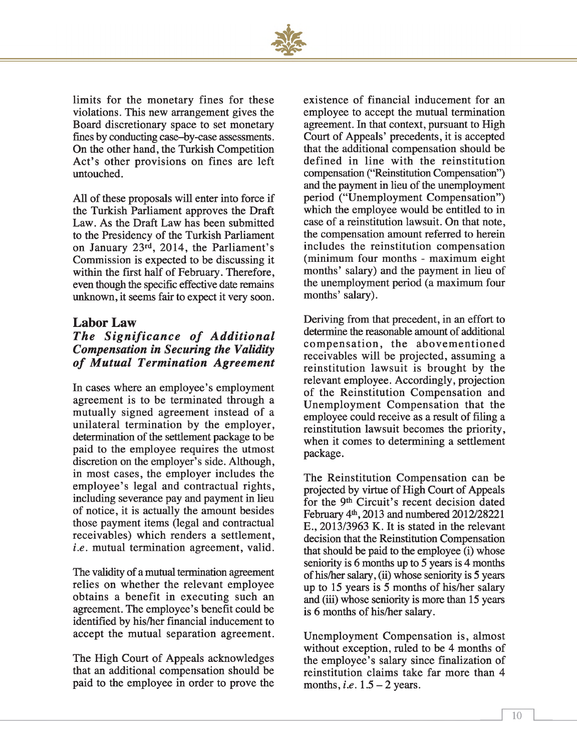

limits for the monetary fines for these violations. This new arrangement gives the Board discretionary space to set monetary fines by conducting case-by-case assessments. On the other hand, the Turkish Competition Act's other provisions on fines are left untouched.

All of these proposals will enter into force if the Turkish Parliament approves the Draft Law. As the Draft Law has been submitted to the Presidency of the Turkish Parliament on January 23rd, 2014, the Parliament's Commission is expected to be discussing it within the first half of February. Therefore, even though the specific effective date remains unknown, it seems fair to expect it very soon.

#### **Labor Law**

#### *The Significance of Additional C om pensation in Securing the V alidity* of Mutual Termination Agreement

In cases where an employee's employment agreement is to be terminated through a mutually signed agreement instead of a unilateral termination by the employer, determination of the settlement package to be paid to the employee requires the utmost discretion on the employer's side. Although, in most cases, the employer includes the employee's legal and contractual rights, including severance pay and payment in lieu of notice, it is actually the amount besides those payment items (legal and contractual receivables) which renders a settlement, *i.e.* mutual termination agreement, valid.

The validity of a mutual termination agreement relies on whether the relevant employee obtains a benefit in executing such an agreement. The employee's benefit could be identified by his/her financial inducement to accept the mutual separation agreement.

The High Court of Appeals acknowledges that an additional compensation should be paid to the employee in order to prove the

existence of financial inducement for an employee to accept the mutual termination agreement. In that context, pursuant to High Court of Appeals' precedents, it is accepted that the additional compensation should be defined in line with the reinstitution compensation ("Reinstitution Compensation") and the payment in lieu of the unemployment period ("Unemployment Compensation") which the employee would be entitled to in case of a reinstitution lawsuit. On that note, the compensation amount referred to herein includes the reinstitution com pensation (minimum four months - maximum eight months' salary) and the payment in lieu of the unemployment period (a maximum four months' salary).

Deriving from that precedent, in an effort to determine the reasonable amount of additional compensation, the abovementioned receivables will be projected, assuming a reinstitution law suit is brought by the relevant employee. Accordingly, projection of the Reinstitution Compensation and Unemployment Compensation that the employee could receive as a result of filing a reinstitution lawsuit becomes the priority, when it comes to determining a settlement package.

The Reinstitution Compensation can be projected by virtue of High Court of Appeals for the 9th Circuit's recent decision dated February 4th, 2013 and numbered 2012/28221 E., 2013/3963 K. It is stated in the relevant decision that the Reinstitution Compensation that should be paid to the employee (i) whose seniority is 6 months up to 5 years is 4 months of his/her salary, (ii) whose seniority is 5 years up to 15 years is 5 months of his/her salary and (iii) whose seniority is more than 15 years is 6 months of his/her salary.

Unemployment Compensation is, almost without exception, ruled to be 4 months of the employee's salary since finalization of reinstitution claims take far more than 4 months, *i.e.*  $1.5 - 2$  years.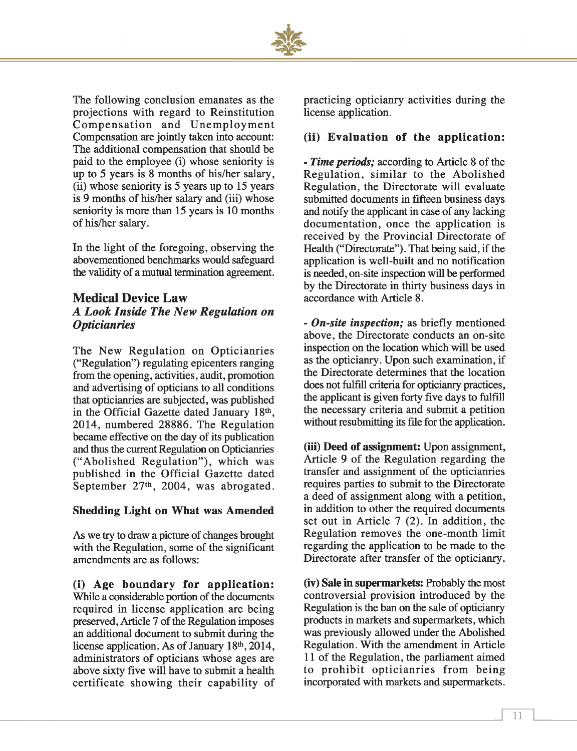

The following conclusion emanates as the projections with regard to Reinstitution Compensation and Unemployment Compensation are jointly taken into account: The additional compensation that should be paid to the employee (i) whose seniority is up to 5 years is 8 months of his/her salary, (ii) whose seniority is 5 years up to 15 years is 9 months of his/her salary and (iii) whose seniority is more than 15 years is 10 months of his/her salary.

In the light of the foregoing, observing the abovementioned benchmarks would safeguard the validity of a mutual termination agreement.

#### **Medical Device Law** *A L ook Inside The N ew R egulation on Opticianries*

The New Regulation on Opticianries ("Regulation") regulating epicenters ranging from the opening, activities, audit, promotion and advertising of opticians to all conditions that opticianries are subjected, was published in the Official Gazette dated January 18th, 2014, num bered 28886. The Regulation became effective on the day of its publication and thus the current Regulation on Opticianries ("Abolished Regulation"), which was published in the Official Gazette dated September  $27<sup>th</sup>$ , 2004, was abrogated.

#### **Shedding Light on What was Amended**

As we try to draw a picture of changes brought with the Regulation, some of the significant amendments are as follows:

**(i) Age boundary for application:** While a considerable portion of the documents required in license application are being preserved, Article 7 of the Regulation imposes an additional document to submit during the license application. As of January 18<sup>th</sup>, 2014, administrators of opticians whose ages are above sixty five will have to submit a health certificate showing their capability of practicing opticianry activities during the license application.

#### **(ii) Evaluation of the application:**

- *Time periods;* according to Article 8 of the Regulation, similar to the Abolished Regulation, the Directorate will evaluate submitted documents in fifteen business days and notify the applicant in case of any lacking documentation, once the application is received by the Provincial Directorate of Health ("Directorate"). That being said, if the application is well-built and no notification is needed, on-site inspection will be performed by the Directorate in thirty business days in accordance with Article 8.

- *On-site inspection;* as briefly mentioned above, the Directorate conducts an on-site inspection on the location which will be used as the opticianry. Upon such examination, if the Directorate determines that the location does not fulfill criteria for opticianry practices, the applicant is given forty five days to fulfill the necessary criteria and submit a petition without resubmitting its file for the application.

**(iii) Deed of assignment:** Upon assignment, Article 9 of the Regulation regarding the transfer and assignment of the opticianries requires parties to submit to the Directorate a deed of assignment along with a petition, in addition to other the required documents set out in Article 7 (2). In addition, the Regulation removes the one-month limit regarding the application to be made to the Directorate after transfer of the opticianry.

**(iv) Sale in supermarkets:** Probably the most controversial provision introduced by the Regulation is the ban on the sale of opticianry products in markets and supermarkets, which was previously allowed under the Abolished Regulation. With the amendment in Article 11 of the Regulation, the parliament aimed to prohibit opticianries from being incorporated with markets and supermarkets.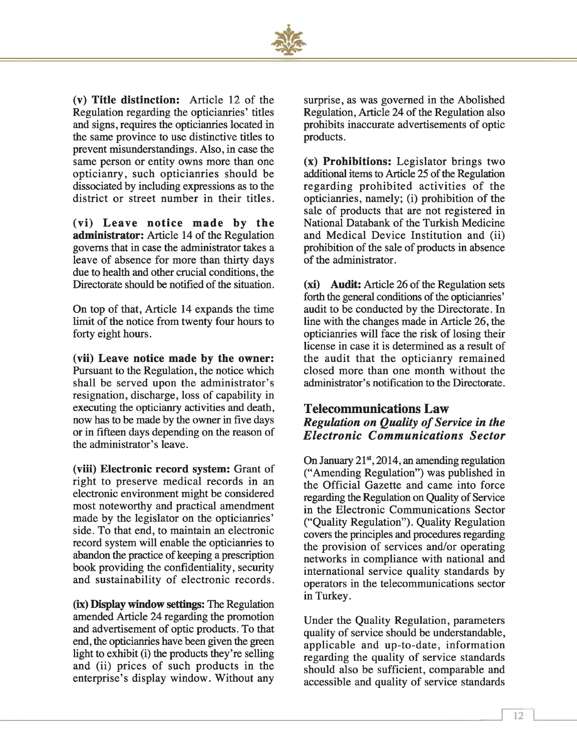

(v) **Title distinction:** Article 12 of the Regulation regarding the opticianries' titles and signs, requires the opticianries located in the same province to use distinctive titles to prevent misunderstandings. Also, in case the same person or entity owns more than one opticianry, such opticianries should be dissociated by including expressions as to the district or street number in their titles.

**(vi) Leave notice made by the administrator:** Article 14 of the Regulation governs that in case the administrator takes a leave of absence for more than thirty days due to health and other crucial conditions, the Directorate should be notified of the situation.

On top of that, Article 14 expands the time limit of the notice from twenty four hours to forty eight hours.

**(vii) Leave notice made by the owner:** Pursuant to the Regulation, the notice which shall be served upon the administrator's resignation, discharge, loss of capability in executing the opticianry activities and death, now has to be made by the owner in five days or in fifteen days depending on the reason of the administrator's leave.

**(viii) Electronic record system:** Grant of right to preserve medical records in an electronic environment might be considered most noteworthy and practical amendment made by the legislator on the opticianries' side. To that end, to maintain an electronic record system will enable the opticianries to abandon the practice of keeping a prescription book providing the confidentiality, security and sustainability of electronic records.

**(ix) Display window settings:** The Regulation amended Article 24 regarding the promotion and advertisement of optic products. To that end, the opticianries have been given the green light to exhibit (i) the products they're selling and (ii) prices of such products in the enterprise's display window. Without any

surprise, as was governed in the Abolished Regulation, Article 24 of the Regulation also prohibits inaccurate advertisements of optic products.

**(x) Prohibitions:** Legislator brings two additional items to Article 25 of the Regulation regarding prohibited activities of the opticianries, namely; (i) prohibition of the sale of products that are not registered in National Databank of the Turkish Medicine and Medical Device Institution and (ii) prohibition of the sale of products in absence of the administrator.

**(xi) Audit:** Article 26 of the Regulation sets forth the general conditions of the opticianries' audit to be conducted by the Directorate. In line with the changes made in Article 26, the opticianries will face the risk of losing their license in case it is determined as a result of the audit that the opticianry remained closed more than one month without the administrator's notification to the Directorate.

#### **Telecommunications Law** *Regulation on Quality of Service in the Electronic Communications Sector*

On January 21<sup>st</sup>, 2014, an amending regulation ("Amending Regulation") was published in the Official Gazette and came into force regarding the Regulation on Quality of Service in the Electronic Communications Sector ("Quality Regulation"). Quality Regulation covers the principles and procedures regarding the provision of services and/or operating networks in compliance with national and international service quality standards by operators in the telecommunications sector in Turkey.

Under the Quality Regulation, parameters quality of service should be understandable, applicable and up-to-date, information regarding the quality of service standards should also be sufficient, comparable and accessible and quality of service standards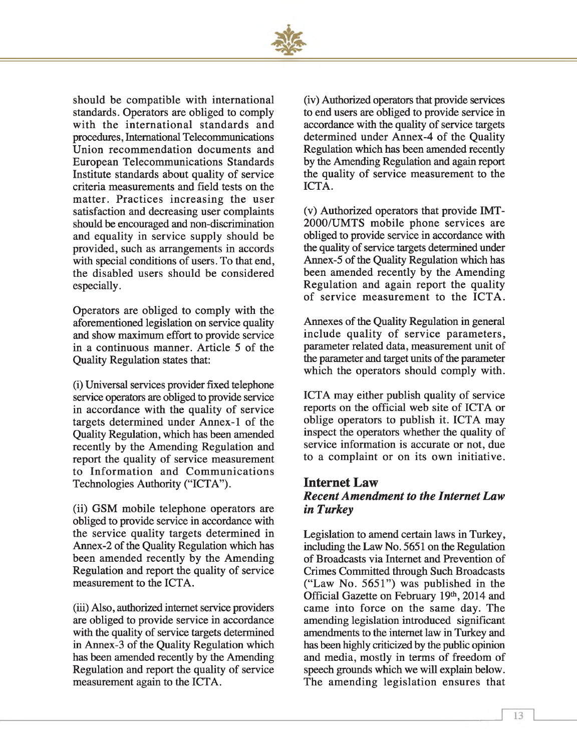

should be compatible with international standards. Operators are obliged to comply with the international standards and procedures, International Telecommunications Union recommendation documents and European Telecommunications Standards Institute standards about quality of service criteria measurements and field tests on the matter. Practices increasing the user satisfaction and decreasing user complaints should be encouraged and non-discrimination and equality in service supply should be provided, such as arrangements in accords with special conditions of users. To that end, the disabled users should be considered especially.

Operators are obliged to comply with the aforementioned legislation on service quality and show maximum effort to provide service in a continuous manner. Article 5 of the Quality Regulation states that:

(i) Universal services provider fixed telephone service operators are obliged to provide service in accordance with the quality of service targets determined under Annex-1 of the Quality Regulation, which has been amended recently by the Amending Regulation and report the quality of service measurement to Information and Communications Technologies Authority ("ICTA").

(ii) GSM mobile telephone operators are obliged to provide service in accordance with the service quality targets determined in Annex-2 of the Quality Regulation which has been amended recently by the Amending Regulation and report the quality of service measurement to the ICTA.

(iii) Also, authorized internet service providers are obliged to provide service in accordance with the quality of service targets determined in Annex-3 of the Quality Regulation which has been amended recently by the Amending Regulation and report the quality of service measurement again to the ICTA.

(iv) Authorized operators that provide services to end users are obliged to provide service in accordance with the quality of service targets determined under Annex-4 of the Quality Regulation which has been amended recently by the Amending Regulation and again report the quality of service measurement to the ICTA.

(v) Authorized operators that provide IMT-2000/UMTS mobile phone services are obliged to provide service in accordance with the quality of service targets determined under Annex-5 of the Quality Regulation which has been amended recently by the Amending Regulation and again report the quality of service measurement to the ICTA.

Annexes of the Quality Regulation in general include quality of service parameters, parameter related data, measurement unit of the parameter and target units of the parameter which the operators should comply with.

ICTA may either publish quality of service reports on the official web site of ICTA or oblige operators to publish it. ICTA may inspect the operators whether the quality of service information is accurate or not, due to a complaint or on its own initiative.

#### **Internet Law Recent Amendment to the Internet Law** *in Turkey*

Legislation to amend certain laws in Turkey, including the Law No. 5651 on the Regulation of Broadcasts via Internet and Prevention of Crimes Committed through Such Broadcasts ("Law No. 5651") was published in the Official Gazette on February 19th, 2014 and came into force on the same day. The amending legislation introduced significant amendments to the internet law in Turkey and has been highly criticized by the public opinion and media, mostly in terms of freedom of speech grounds which we will explain below. The amending legislation ensures that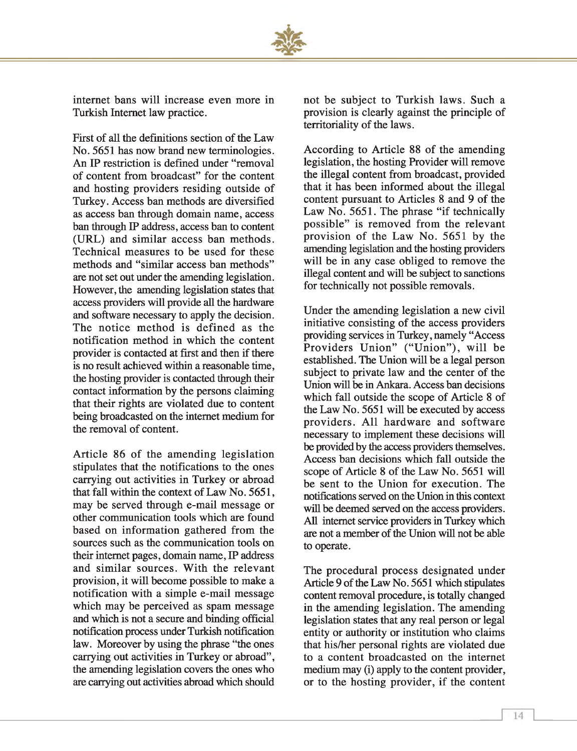

internet bans will increase even more in Turkish Internet law practice.

First of all the definitions section of the Law No. 5651 has now brand new terminologies. An IP restriction is defined under "removal of content from broadcast" for the content and hosting providers residing outside of Turkey. Access ban methods are diversified as access ban through domain name, access ban through IP address, access ban to content (URL) and similar access ban methods. Technical measures to be used for these methods and "similar access ban methods" are not set out under the amending legislation. However, the amending legislation states that access providers will provide all the hardware and software necessary to apply the decision. The notice method is defined as the notification method in which the content provider is contacted at first and then if there is no result achieved within a reasonable time, the hosting provider is contacted through their contact information by the persons claiming that their rights are violated due to content being broadcasted on the internet medium for the removal of content.

Article 86 of the amending legislation stipulates that the notifications to the ones carrying out activities in Turkey or abroad that fall within the context of Law No. 5651, may be served through e-mail message or other communication tools which are found based on information gathered from the sources such as the communication tools on their internet pages, domain name, IP address and similar sources. With the relevant provision, it will become possible to make a notification with a simple e-mail message which may be perceived as spam message and which is not a secure and binding official notification process under Turkish notification law. Moreover by using the phrase "the ones carrying out activities in Turkey or abroad", the amending legislation covers the ones who are carrying out activities abroad which should not be subject to Turkish laws. Such a provision is clearly against the principle of territoriality of the laws.

According to Article 88 of the amending legislation, the hosting Provider will remove the illegal content from broadcast, provided that it has been informed about the illegal content pursuant to Articles 8 and 9 of the Law No. 5651. The phrase "if technically possible" is removed from the relevant provision of the Law No. 5651 by the amending legislation and the hosting providers will be in any case obliged to remove the illegal content and will be subject to sanctions for technically not possible removals.

Under the amending legislation a new civil initiative consisting of the access providers providing services in Turkey, namely "Access Providers Union" ("Union"), will be established. The Union will be a legal person subject to private law and the center of the Union will be in Ankara. Access ban decisions which fall outside the scope of Article 8 of the Law No. 5651 will be executed by access providers. All hardware and software necessary to implement these decisions will be provided by the access providers themselves. Access ban decisions which fall outside the scope of Article 8 of the Law No. 5651 will be sent to the Union for execution. The notifications served on the Union in this context will be deemed served on the access providers. All internet service providers in Turkey which are not a member of the Union will not be able to operate.

The procedural process designated under Article 9 of the Law No. 5651 which stipulates content removal procedure, is totally changed in the amending legislation. The amending legislation states that any real person or legal entity or authority or institution who claims that his/her personal rights are violated due to a content broadcasted on the internet medium may (i) apply to the content provider, or to the hosting provider, if the content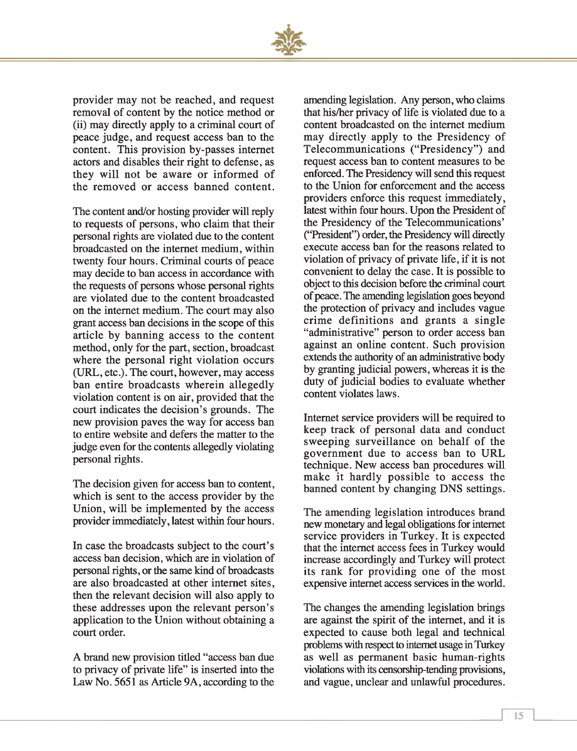

provider may not be reached, and request removal of content by the notice method or (ii) may directly apply to a criminal court of peace judge, and request access ban to the content. This provision by-passes internet actors and disables their right to defense, as they will not be aware or informed of the removed or access banned content.

The content and/or hosting provider will reply to requests of persons, who claim that their personal rights are violated due to the content broadcasted on the internet medium, within twenty four hours. Criminal courts of peace may decide to ban access in accordance with the requests of persons whose personal rights are violated due to the content broadcasted on the internet medium. The court may also grant access ban decisions in the scope of this article by banning access to the content method, only for the part, section, broadcast where the personal right violation occurs (URL, etc.). The court, however, may access ban entire broadcasts wherein allegedly violation content is on air, provided that the court indicates the decision's grounds. The new provision paves the way for access ban to entire website and defers the matter to the judge even for the contents allegedly violating personal rights.

The decision given for access ban to content, which is sent to the access provider by the Union, will be implemented by the access provider immediately, latest within four hours.

In case the broadcasts subject to the court's access ban decision, which are in violation of personal rights, or the same kind of broadcasts are also broadcasted at other internet sites, then the relevant decision will also apply to these addresses upon the relevant person's application to the Union without obtaining a court order.

A brand new provision titled "access ban due to privacy of private life" is inserted into the Law No. 5651 as Article 9A, according to the

amending legislation. Any person, who claims that his/her privacy of life is violated due to a content broadcasted on the internet medium may directly apply to the Presidency of Telecommunications ("Presidency") and request access ban to content measures to be enforced. The Presidency will send this request to the Union for enforcement and the access providers enforce this request immediately, latest within four hours. Upon the President of the Presidency of the Telecommunications' ("President") order, the Presidency will directly execute access ban for the reasons related to violation of privacy of private life, if it is not convenient to delay the case. It is possible to object to this decision before the criminal court of peace. The amending legislation goes beyond the protection of privacy and includes vague crime definitions and grants a single "administrative" person to order access ban against an online content. Such provision extends the authority of an administrative body by granting judicial powers, whereas it is the duty of judicial bodies to evaluate whether content violates laws.

Internet service providers will be required to keep track of personal data and conduct sweeping surveillance on behalf of the governm ent due to access ban to URL technique. New access ban procedures will make it hardly possible to access the banned content by changing DNS settings.

The amending legislation introduces brand new monetary and legal obligations for internet service providers in Turkey. It is expected that the internet access fees in Turkey would increase accordingly and Turkey will protect its rank for providing one of the most expensive internet access services in the world.

The changes the amending legislation brings are against the spirit of the internet, and it is expected to cause both legal and technical problems with respect to internet usage in Turkey as well as permanent basic human-rights violations with its censorship-tending provisions, and vague, unclear and unlawful procedures.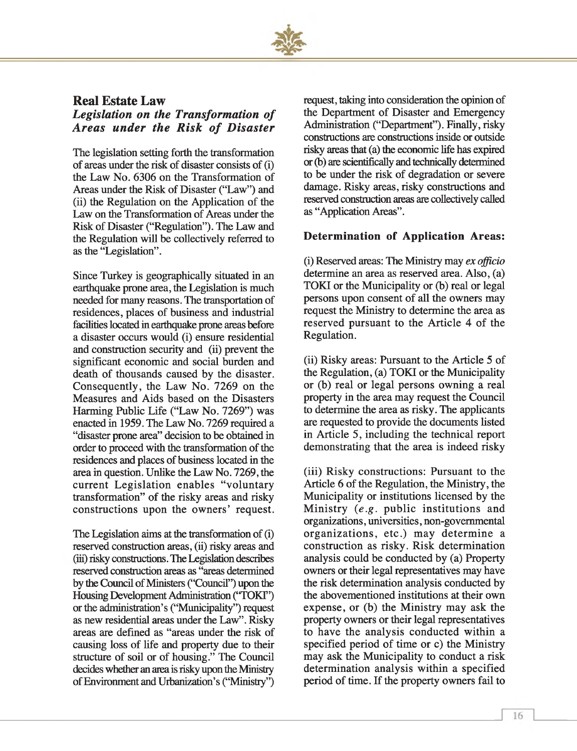

#### **Real Estate Law**

*Legislation on the Transformation of Areas under the Risk of Disaster* 

The legislation setting forth the transformation of areas under the risk of disaster consists of (i) the Law No. 6306 on the Transformation of Areas under the Risk of Disaster ("Law") and (ii) the Regulation on the Application of the Law on the Transformation of Areas under the Risk of Disaster ("Regulation"). The Law and the Regulation will be collectively referred to as the "Legislation".

Since Turkey is geographically situated in an earthquake prone area, the Legislation is much needed for many reasons. The transportation of residences, places of business and industrial facilities located in earthquake prone areas before a disaster occurs would (i) ensure residential and construction security and (ii) prevent the significant economic and social burden and death of thousands caused by the disaster. Consequently, the Law No. 7269 on the Measures and Aids based on the Disasters Harming Public Life ("Law No. 7269") was enacted in 1959. The Law No. 7269 required a "disaster prone area" decision to be obtained in order to proceed with the transformation of the residences and places of business located in the area in question. Unlike the Law No. 7269, the current Legislation enables "voluntary transformation" of the risky areas and risky constructions upon the owners' request.

The Legislation aims at the transformation of (i) reserved construction areas, (ii) risky areas and (in) risky constructions. The Legislation describes reserved construction areas as "areas determined by the Council of Ministers ("Council") upon the Housing Development Administration ('TOKF') or the administration's ("Municipality") request as new residential areas under the Law". Risky areas are defined as "areas under the risk of causing loss of life and property due to their structure of soil or of housing." The Council decides whether an area is risky upon the Ministry of Environment and Urbanization's ("Ministry") request, taking into consideration the opinion of the Department of Disaster and Emergency Administration ("Department"). Finally, risky constructions are constructions inside or outside risky areas that (a) the economic life has expired or (b) are scientifically and technically determined to be under the risk of degradation or severe damage. Risky areas, risky constructions and reserved construction areas are collectively called as "Application Areas".

#### **Determination of Application Areas:**

(i) Reserved areas: The Ministry may *ex officio* determine an area as reserved area. Also, (a) TOKI or the Municipality or (b) real or legal persons upon consent of all the owners may request the Ministry to determine the area as reserved pursuant to the Article 4 of the Regulation.

(ii) Risky areas: Pursuant to the Article 5 of the Regulation, (a) TOKI or the Municipality or (b) real or legal persons owning a real property in the area may request the Council to determine the area as risky. The applicants are requested to provide the documents listed in Article 5, including the technical report demonstrating that the area is indeed risky

(iii) Risky constructions: Pursuant to the Article 6 of the Regulation, the Ministry, the Municipality or institutions licensed by the Ministry (e.g. public institutions and organizations, universities, non-governmental organizations, etc.) may determine a construction as risky. Risk determination analysis could be conducted by (a) Property owners or their legal representatives may have the risk determination analysis conducted by the abovementioned institutions at their own expense, or (b) the Ministry may ask the property owners or their legal representatives to have the analysis conducted within a specified period of time or c) the Ministry may ask the Municipality to conduct a risk determination analysis within a specified period of time. If the property owners fail to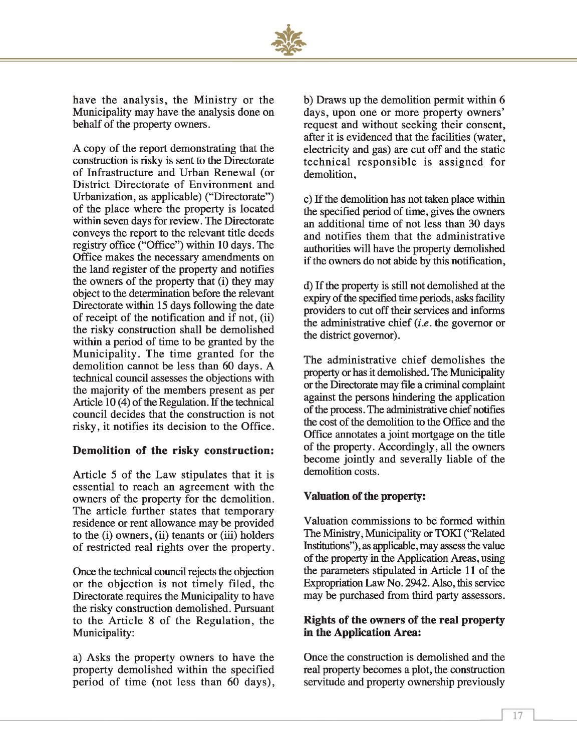

have the analysis, the Ministry or the Municipality may have the analysis done on behalf of the property owners.

A copy of the report demonstrating that the construction is risky is sent to the Directorate of Infrastructure and Urban Renewal (or District Directorate of Environment and Urbanization, as applicable) ("Directorate") of the place where the property is located within seven days for review. The Directorate conveys the report to the relevant title deeds registry office ("Office") within 10 days. The Office makes the necessary amendments on the land register of the property and notifies the owners of the property that (i) they may object to the determination before the relevant Directorate within 15 days following the date of receipt of the notification and if not, (ii) the risky construction shall be demolished within a period of time to be granted by the Municipality. The time granted for the demolition cannot be less than 60 days. A technical council assesses the objections with the majority of the members present as per Article 10 (4) of the Regulation. If the technical council decides that the construction is not risky, it notifies its decision to the Office.

#### **Demolition of the risky construction:**

Article 5 of the Law stipulates that it is essential to reach an agreement with the owners of the property for the demolition. The article further states that temporary residence or rent allowance may be provided to the (i) owners, (ii) tenants or (iii) holders of restricted real rights over the property.

Once the technical council rejects the objection or the objection is not timely filed, the Directorate requires the Municipality to have the risky construction demolished. Pursuant to the Article 8 of the Regulation, the Municipality:

a) Asks the property owners to have the property demolished within the specified period of time (not less than 60 days), b) Draws up the demolition permit within 6 days, upon one or more property owners' request and without seeking their consent, after it is evidenced that the facilities (water, electricity and gas) are cut off and the static technical responsible is assigned for demolition,

c) If the demolition has not taken place within the specified period of time, gives the owners an additional time of not less than 30 days and notifies them that the administrative authorities will have the property demolished if the owners do not abide by this notification,

d) If the property is still not demolished at the expiry of the specified time periods, asks facility providers to cut off their services and informs the administrative chief *(i.e.* the governor or the district governor).

The administrative chief demolishes the property or has it demolished. The Municipality or the Directorate may file a criminal complaint against the persons hindering the application of the process. The administrative chief notifies the cost of the demolition to the Office and the Office annotates a joint mortgage on the title of the property. Accordingly, all the owners become jointly and severally liable of the demolition costs.

#### **Valuation of the property:**

Valuation commissions to be formed within The Ministry, Municipality or TOKI ("Related Institutions"), as applicable, may assess the value of the property in the Application Areas, using the parameters stipulated in Article 11 of the Expropriation Law No. 2942. Also, this service may be purchased from third party assessors.

#### **Rights of the owners of the real property in the Application Area:**

Once the construction is demolished and the real property becomes a plot, the construction servitude and property ownership previously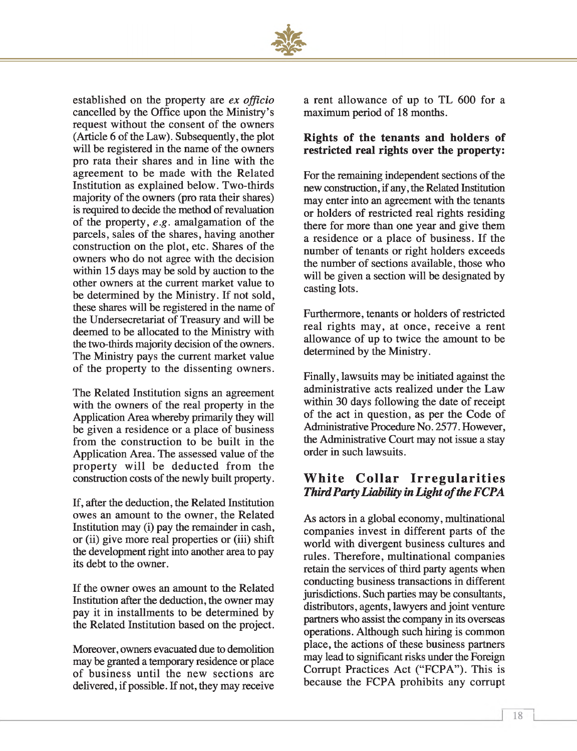

established on the property are *ex officio* cancelled by the Office upon the Ministry's request without the consent of the owners (Article 6 of the Law). Subsequently, the plot will be registered in the name of the owners pro rata their shares and in line with the agreement to be made with the Related Institution as explained below. Two-thirds majority of the owners (pro rata their shares) is required to decide the method of revaluation of the property, *e.g.* amalgamation of the parcels, sales of the shares, having another construction on the plot, etc. Shares of the owners who do not agree with the decision within 15 days may be sold by auction to the other owners at the current market value to be determined by the Ministry. If not sold, these shares will be registered in the name of the Undersecretariat of Treasury and will be deemed to be allocated to the Ministry with the two-thirds majority decision of the owners. The Ministry pays the current market value of the property to the dissenting owners.

The Related Institution signs an agreement with the owners of the real property in the Application Area whereby primarily they will be given a residence or a place of business from the construction to be built in the Application Area. The assessed value of the property will be deducted from the construction costs of the newly built property.

If, after the deduction, the Related Institution owes an amount to the owner, the Related Institution may (i) pay the remainder in cash, or (ii) give more real properties or (iii) shift the development right into another area to pay its debt to the owner.

If the owner owes an amount to the Related Institution after the deduction, the owner may pay it in installments to be determined by the Related Institution based on the project.

Moreover, owners evacuated due to demolition may be granted a temporary residence or place of business until the new sections are delivered, if possible. If not, they may receive

a rent allowance of up to TL 600 for a maximum period of 18 months.

#### **Rights of the tenants and holders of restricted real rights over the property:**

For the remaining independent sections of the new construction, if any, the Related Institution may enter into an agreement with the tenants or holders of restricted real rights residing there for more than one year and give them a residence or a place of business. If the number of tenants or right holders exceeds the number of sections available, those who will be given a section will be designated by casting lots.

Furthermore, tenants or holders of restricted real rights may, at once, receive a rent allowance of up to twice the amount to be determined by the Ministry.

Finally, lawsuits may be initiated against the administrative acts realized under the Law within 30 days following the date of receipt of the act in question, as per the Code of Administrative Procedure No. 2577. However, the Administrative Court may not issue a stay order in such lawsuits.

#### **White Collar Irregularities Third Party Liability in Light of the FCPA**

As actors in a global economy, multinational companies invest in different parts of the world with divergent business cultures and rules. Therefore, multinational companies retain the services of third party agents when conducting business transactions in different jurisdictions. Such parties may be consultants, distributors, agents, lawyers and joint venture partners who assist the company in its overseas operations. Although such hiring is common place, the actions of these business partners may lead to significant risks under the Foreign Corrupt Practices Act ("FCPA"). This is because the FCPA prohibits any corrupt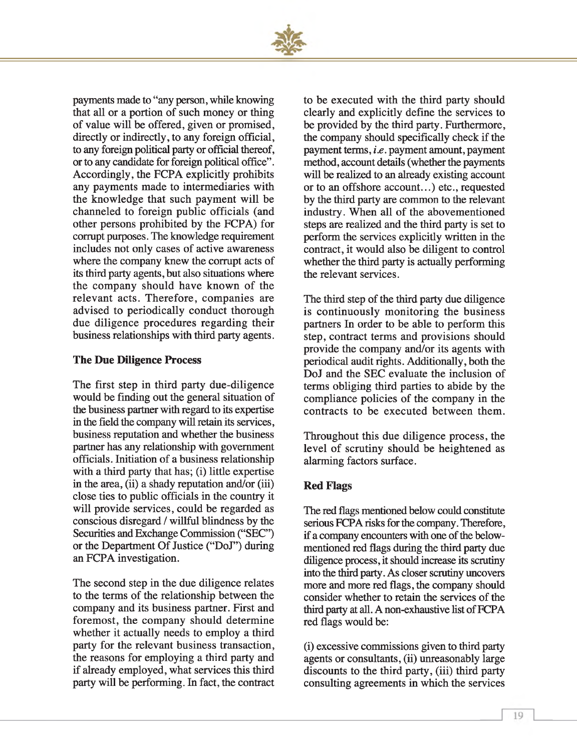

payments made to "any person, while knowing that all or a portion of such money or thing of value will be offered, given or promised, directly or indirectly, to any foreign official, to any foreign political party or official thereof, or to any candidate for foreign political office". Accordingly, the FCPA explicitly prohibits any payments made to intermediaries with the knowledge that such payment will be channeled to foreign public officials (and other persons prohibited by the FCPA) for corrupt purposes. The knowledge requirement includes not only cases of active awareness where the company knew the corrupt acts of its third party agents, but also situations where the company should have known of the relevant acts. Therefore, companies are advised to periodically conduct thorough due diligence procedures regarding their business relationships with third party agents.

#### **The Due Diligence Process**

The first step in third party due-diligence would be finding out the general situation of the business partner with regard to its expertise in the field the company will retain its services, business reputation and whether the business partner has any relationship with government officials. Initiation of a business relationship with a third party that has; (i) little expertise in the area, (ii) a shady reputation and/or (iii) close ties to public officials in the country it will provide services, could be regarded as conscious disregard / willful blindness by the Securities and Exchange Commission ("SEC") or the Department Of Justice ("DoJ") during an FCPA investigation.

The second step in the due diligence relates to the terms of the relationship between the company and its business partner. First and foremost, the company should determine whether it actually needs to employ a third party for the relevant business transaction, the reasons for employing a third party and if already employed, what services this third party will be performing. In fact, the contract to be executed with the third party should clearly and explicitly define the services to be provided by the third party. Furthermore, the company should specifically check if the payment terms, *i.e.* payment amount, payment method, account details (whether the payments will be realized to an already existing account or to an offshore account...) etc., requested by the third party are common to the relevant industry. When all of the abovementioned steps are realized and the third party is set to perform the services explicitly written in the contract, it would also be diligent to control whether the third party is actually performing the relevant services.

The third step of the third party due diligence is continuously monitoring the business partners In order to be able to perform this step, contract terms and provisions should provide the company and/or its agents with periodical audit rights. Additionally, both the DoJ and the SEC evaluate the inclusion of terms obliging third parties to abide by the compliance policies of the company in the contracts to be executed between them.

Throughout this due diligence process, the level of scrutiny should be heightened as alarming factors surface.

#### **Red Flags**

The red flags mentioned below could constitute serious FCPA risks for the company. Therefore, if a company encounters with one of the belowmentioned red flags during the third party due diligence process, it should increase its scrutiny into the third party. As closer scrutiny uncovers more and more red flags, the company should consider whether to retain the services of the third party at all. A non-exhaustive list of FCPA red flags would be:

(i) excessive commissions given to third party agents or consultants, (ii) unreasonably large discounts to the third party, (iii) third party consulting agreements in which the services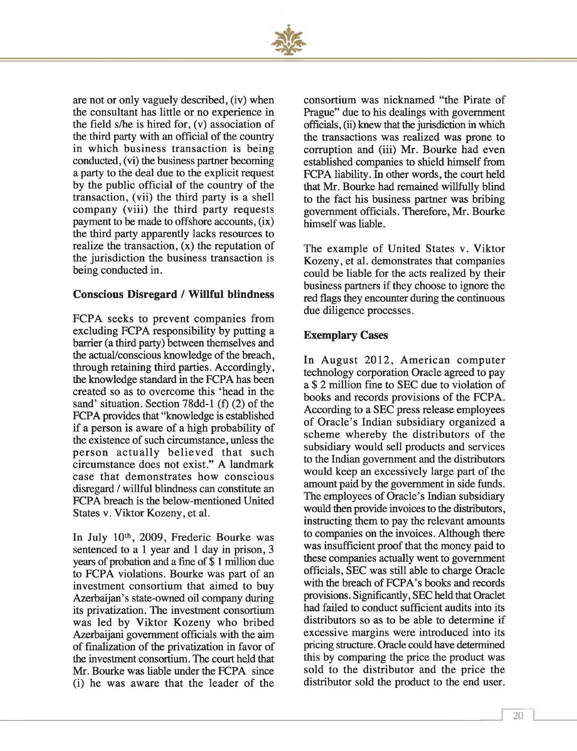

are not or only vaguely described, (iv) when the consultant has little or no experience in the field s/he is hired for, (v) association of the third party with an official of the country in which business transaction is being conducted, (vi) the business partner becoming a party to the deal due to the explicit request by the public official of the country of the transaction, (vii) the third party is a shell company (viii) the third party requests payment to be made to offshore accounts, (ix) the third party apparently lacks resources to realize the transaction, (x) the reputation of the jurisdiction the business transaction is being conducted in.

#### **Conscious Disregard / Willful blindness**

FCPA seeks to prevent companies from excluding FCPA responsibility by putting a barrier (a third party) between themselves and the actual/conscious knowledge of the breach, through retaining third parties. Accordingly, the knowledge standard in the FCPA has been created so as to overcome this 'head in the sand' situation. Section 78dd-l (f) (2) of the FCPA provides that "knowledge is established if a person is aware of a high probability of the existence of such circumstance, unless the person actually believed that such circumstance does not exist." A landmark case that demonstrates how conscious disregard / willful blindness can constitute an FCPA breach is the below-mentioned United States v. Viktor Kozeny, et al.

In July 10th, 2009, Frederic Bourke was sentenced to a 1 year and 1 day in prison, 3 years of probation and a fine of \$ 1 million due to FCPA violations. Bourke was part of an investment consortium that aimed to buy Azerbaijan's state-owned oil company during its privatization. The investment consortium was led by Viktor Kozeny who bribed Azerbaijani government officials with the aim of finalization of the privatization in favor of the investment consortium. The court held that Mr. Bourke was liable under the FCPA since (i) he was aware that the leader of the consortium was nicknamed "the Pirate of Prague" due to his dealings with government officials, (ii) knew that the jurisdiction in which the transactions was realized was prone to corruption and (iii) Mr. Bourke had even established companies to shield himself from FCPA liability. In other words, the court held that Mr. Bourke had remained willfully blind to the fact his business partner was bribing government officials. Therefore, Mr. Bourke himself was liable.

The example of United States v. Viktor Kozeny, et al. demonstrates that companies could be liable for the acts realized by their business partners if they choose to ignore the red flags they encounter during the continuous due diligence processes.

#### **Exemplary Cases**

In August 2012, American computer technology corporation Oracle agreed to pay a \$ 2 million fine to SEC due to violation of books and records provisions of the FCPA. According to a SEC press release employees of Oracle's Indian subsidiary organized a scheme whereby the distributors of the subsidiary would sell products and services to the Indian government and the distributors would keep an excessively large part of the amount paid by the government in side funds. The employees of Oracle's Indian subsidiary would then provide invoices to the distributors, instructing them to pay the relevant amounts to companies on the invoices. Although there was insufficient proof that the money paid to these companies actually went to government officials, SEC was still able to charge Oracle with the breach of FCPA's books and records provisions. Significantly, SEC held that Oraclet had failed to conduct sufficient audits into its distributors so as to be able to determine if excessive margins were introduced into its pricing structure. Oracle could have determined this by comparing the price the product was sold to the distributor and the price the distributor sold the product to the end user.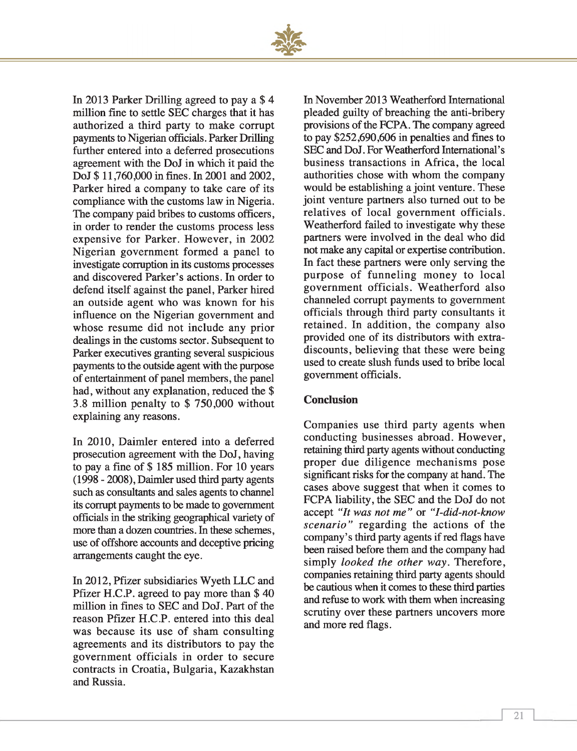

In 2013 Parker Drilling agreed to pay a \$ 4 million fine to settle SEC charges that it has authorized a third party to make corrupt payments to Nigerian officials. Parker Drilling further entered into a deferred prosecutions agreement with the DoJ in which it paid the DoJ \$ 11,760,000 in fines. In 2001 and 2002, Parker hired a company to take care of its compliance with the customs law in Nigeria. The company paid bribes to customs officers, in order to render the customs process less expensive for Parker. However, in 2002 Nigerian government formed a panel to investigate corruption in its customs processes and discovered Parker's actions. In order to defend itself against the panel, Parker hired an outside agent who was known for his influence on the Nigerian government and whose resume did not include any prior dealings in the customs sector. Subsequent to Parker executives granting several suspicious payments to the outside agent with the purpose of entertainment of panel members, the panel had, without any explanation, reduced the \$ 3.8 million penalty to \$ 750,000 without explaining any reasons.

In 2010, Daimler entered into a deferred prosecution agreement with the DoJ, having to pay a fine of \$ 185 million. For 10 years (1998 - 2008), Daimler used third party agents such as consultants and sales agents to channel its corrupt payments to be made to government officials in the striking geographical variety of more than a dozen countries. In these schemes, use of offshore accounts and deceptive pricing arrangements caught the eye.

In 2012, Pfizer subsidiaries Wyeth LLC and Pfizer H.C.P. agreed to pay more than \$ 40 million in fines to SEC and DoJ. Part of the reason Pfizer H.C.P. entered into this deal was because its use of sham consulting agreements and its distributors to pay the governm ent officials in order to secure contracts in Croatia, Bulgaria, Kazakhstan and Russia.

In November 2013 Weatherford International pleaded guilty of breaching the anti-bribery provisions of the FCPA. The company agreed to pay \$252,690,606 in penalties and fines to SEC and DoJ. For Weatherford International's business transactions in Africa, the local authorities chose with whom the company would be establishing a joint venture. These joint venture partners also turned out to be relatives of local government officials. Weatherford failed to investigate why these partners were involved in the deal who did not make any capital or expertise contribution. In fact these partners were only serving the purpose of funneling money to local government officials. Weatherford also channeled corrupt payments to government officials through third party consultants it retained. In addition, the company also provided one of its distributors with extradiscounts, believing that these were being used to create slush funds used to bribe local government officials.

#### **Conclusion**

Companies use third party agents when conducting businesses abroad. However, retaining third party agents without conducting proper due diligence mechanisms pose significant risks for the company at hand. The cases above suggest that when it comes to FCPA liability, the SEC and the DoJ do not accept *"It was not me"* or *"I-did-not-know scenario"* regarding the actions of the company's third party agents if red flags have been raised before them and the company had simply *looked the other way.* Therefore, companies retaining third party agents should be cautious when it comes to these third parties and refuse to work with them when increasing scrutiny over these partners uncovers more and more red flags.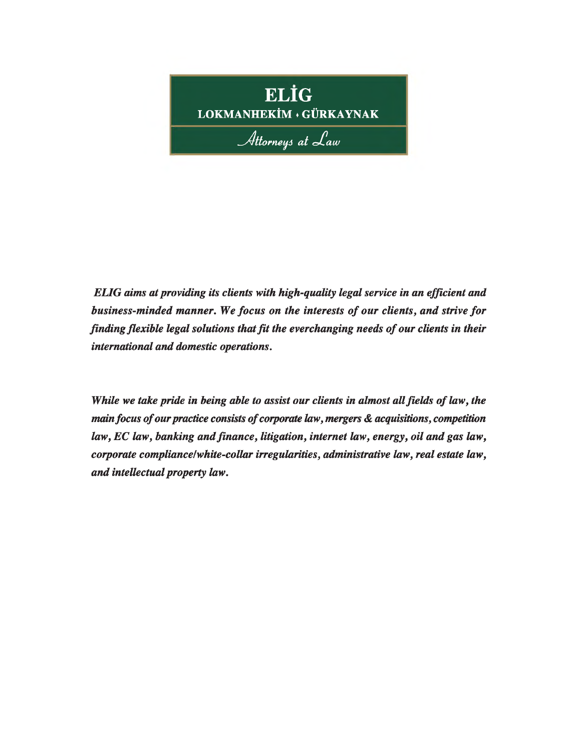

*ELIG aims at providing its clients with high-quality legal service in an efficient and business-minded manner. We focus on the interests of our clients, and strive for finding flexible legal solutions that fit the everchanging needs of our clients in their international and domestic operations.*

*While we take pride in being able to assist our clients in almost all fields of law, the main focus of our practice consists of corporate law, mergers & acquisitions, competition law, EC law, banking and finance, litigation, internet law, energy, oil and gas law, corporate compliance/white-collar irregularities, administrative law, real estate law, and intellectual property law.*